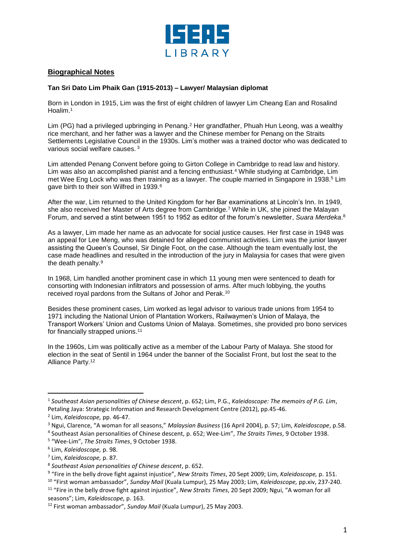

## **Biographical Notes**

## **Tan Sri Dato Lim Phaik Gan (1915-2013) – Lawyer/ Malaysian diplomat**

Born in London in 1915, Lim was the first of eight children of lawyer Lim Cheang Ean and Rosalind Hoalim.<sup>1</sup>

Lim (PG) had a privileged upbringing in Penang.<sup>2</sup> Her grandfather, Phuah Hun Leong, was a wealthy rice merchant, and her father was a lawyer and the Chinese member for Penang on the Straits Settlements Legislative Council in the 1930s. Lim's mother was a trained doctor who was dedicated to various social welfare causes. <sup>3</sup>

Lim attended Penang Convent before going to Girton College in Cambridge to read law and history. Lim was also an accomplished pianist and a fencing enthusiast.<sup>4</sup> While studying at Cambridge, Lim met Wee Eng Lock who was then training as a lawyer. The couple married in Singapore in 1938.<sup>5</sup> Lim gave birth to their son Wilfred in 1939.<sup>6</sup>

After the war, Lim returned to the United Kingdom for her Bar examinations at Lincoln's Inn. In 1949, she also received her Master of Arts degree from Cambridge.<sup>7</sup> While in UK, she joined the Malayan Forum, and served a stint between 1951 to 1952 as editor of the forum's newsletter, *Suara Merdeka*. 8

As a lawyer, Lim made her name as an advocate for social justice causes. Her first case in 1948 was an appeal for Lee Meng, who was detained for alleged communist activities. Lim was the junior lawyer assisting the Queen's Counsel, Sir Dingle Foot, on the case. Although the team eventually lost, the case made headlines and resulted in the introduction of the jury in Malaysia for cases that were given the death penalty.<sup>9</sup>

In 1968, Lim handled another prominent case in which 11 young men were sentenced to death for consorting with Indonesian infiltrators and possession of arms. After much lobbying, the youths received royal pardons from the Sultans of Johor and Perak.<sup>10</sup>

Besides these prominent cases, Lim worked as legal advisor to various trade unions from 1954 to 1971 including the National Union of Plantation Workers, Railwaymen's Union of Malaya, the Transport Workers' Union and Customs Union of Malaya. Sometimes, she provided pro bono services for financially strapped unions. 11

In the 1960s, Lim was politically active as a member of the Labour Party of Malaya. She stood for election in the seat of Sentil in 1964 under the banner of the Socialist Front, but lost the seat to the Alliance Party.<sup>12</sup>

l

<sup>10</sup> "First woman ambassador", *Sunday Mail* (Kuala Lumpur), 25 May 2003; Lim, *Kaleidoscope,* pp.xiv, 237-240. <sup>11</sup> "Fire in the belly drove fight against injustice", *New Straits Times*, 20 Sept 2009; Ngui, "A woman for all

<sup>1</sup> *Southeast Asian personalities of Chinese descent*, p. 652; Lim, P.G., *Kaleidoscope: The memoirs of P.G. Lim*, Petaling Jaya: Strategic Information and Research Development Centre (2012), pp.45-46.

<sup>2</sup> Lim, *Kaleidoscope,* pp. 46-47.

<sup>3</sup> Ngui, Clarence, "A woman for all seasons," *Malaysian Business* (16 April 2004), p. 57; Lim, *Kaleidoscope*, p.58.

<sup>4</sup> Southeast Asian personalities of Chinese descent, p. 652; Wee-Lim", *The Straits Times*, 9 October 1938.

<sup>5</sup> "Wee-Lim", *The Straits Times*, 9 October 1938.

<sup>6</sup> Lim, *Kaleidoscope,* p. 98.

<sup>7</sup> Lim, *Kaleidoscope,* p. 87.

<sup>8</sup> *Southeast Asian personalities of Chinese descent*, p. 652.

<sup>9</sup> "Fire in the belly drove fight against injustice", *New Straits Times*, 20 Sept 2009; Lim, *Kaleidoscope,* p. 151.

seasons"; Lim, *Kaleidoscope,* p. 163.

<sup>12</sup> First woman ambassador", *Sunday Mail* (Kuala Lumpur), 25 May 2003.